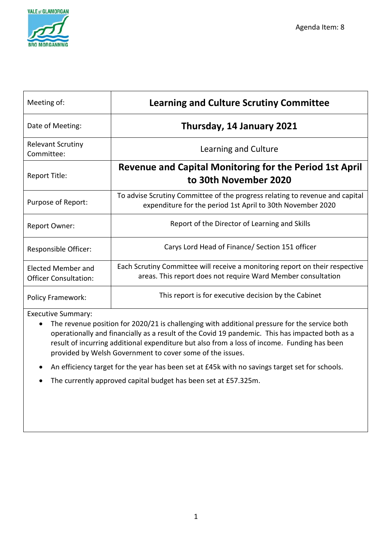

| Meeting of:                                        | <b>Learning and Culture Scrutiny Committee</b>                                                                                               |  |  |
|----------------------------------------------------|----------------------------------------------------------------------------------------------------------------------------------------------|--|--|
| Date of Meeting:                                   | Thursday, 14 January 2021                                                                                                                    |  |  |
| <b>Relevant Scrutiny</b><br>Committee:             | Learning and Culture                                                                                                                         |  |  |
| Report Title:                                      | <b>Revenue and Capital Monitoring for the Period 1st April</b><br>to 30th November 2020                                                      |  |  |
| Purpose of Report:                                 | To advise Scrutiny Committee of the progress relating to revenue and capital<br>expenditure for the period 1st April to 30th November 2020   |  |  |
| <b>Report Owner:</b>                               | Report of the Director of Learning and Skills                                                                                                |  |  |
| Responsible Officer:                               | Carys Lord Head of Finance/ Section 151 officer                                                                                              |  |  |
| Elected Member and<br><b>Officer Consultation:</b> | Each Scrutiny Committee will receive a monitoring report on their respective<br>areas. This report does not require Ward Member consultation |  |  |
| <b>Policy Framework:</b>                           | This report is for executive decision by the Cabinet                                                                                         |  |  |

Executive Summary:

- The revenue position for 2020/21 is challenging with additional pressure for the service both operationally and financially as a result of the Covid 19 pandemic. This has impacted both as a result of incurring additional expenditure but also from a loss of income. Funding has been provided by Welsh Government to cover some of the issues.
- An efficiency target for the year has been set at £45k with no savings target set for schools.
- The currently approved capital budget has been set at £57.325m.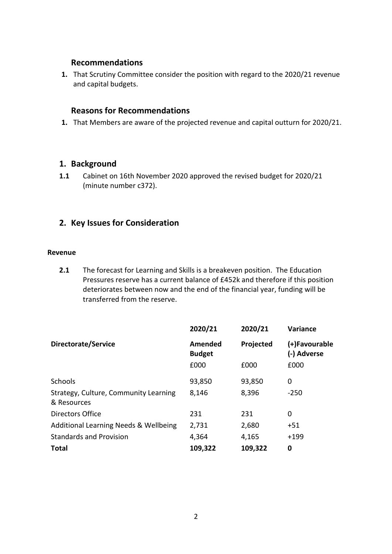## **Recommendations**

**1.** That Scrutiny Committee consider the position with regard to the 2020/21 revenue and capital budgets.

# **Reasons for Recommendations**

**1.** That Members are aware of the projected revenue and capital outturn for 2020/21.

# **1. Background**

**1.1** Cabinet on 16th November 2020 approved the revised budget for 2020/21 (minute number c372).

# **2. Key Issues for Consideration**

#### **Revenue**

**2.1** The forecast for Learning and Skills is a breakeven position. The Education Pressures reserve has a current balance of £452k and therefore if this position deteriorates between now and the end of the financial year, funding will be transferred from the reserve.

|                                                      | 2020/21                  | 2020/21   | <b>Variance</b>              |
|------------------------------------------------------|--------------------------|-----------|------------------------------|
| Directorate/Service                                  | Amended<br><b>Budget</b> | Projected | (+)Favourable<br>(-) Adverse |
|                                                      | £000                     | £000      | £000                         |
| Schools                                              | 93,850                   | 93,850    | 0                            |
| Strategy, Culture, Community Learning<br>& Resources | 8,146                    | 8,396     | $-250$                       |
| Directors Office                                     | 231                      | 231       | 0                            |
| Additional Learning Needs & Wellbeing                | 2,731                    | 2,680     | +51                          |
| <b>Standards and Provision</b>                       | 4,364                    | 4,165     | $+199$                       |
| <b>Total</b>                                         | 109,322                  | 109,322   | 0                            |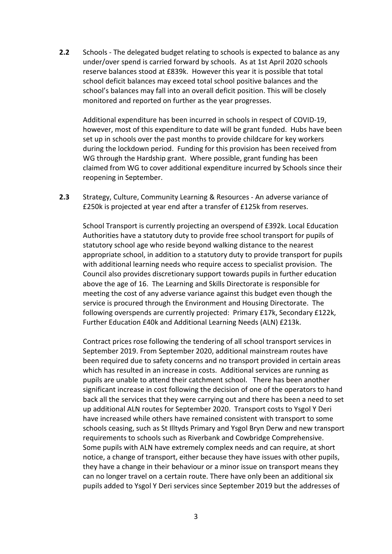**2.2** Schools - The delegated budget relating to schools is expected to balance as any under/over spend is carried forward by schools. As at 1st April 2020 schools reserve balances stood at £839k. However this year it is possible that total school deficit balances may exceed total school positive balances and the school's balances may fall into an overall deficit position. This will be closely monitored and reported on further as the year progresses.

Additional expenditure has been incurred in schools in respect of COVID-19, however, most of this expenditure to date will be grant funded. Hubs have been set up in schools over the past months to provide childcare for key workers during the lockdown period. Funding for this provision has been received from WG through the Hardship grant. Where possible, grant funding has been claimed from WG to cover additional expenditure incurred by Schools since their reopening in September.

**2.3** Strategy, Culture, Community Learning & Resources - An adverse variance of £250k is projected at year end after a transfer of £125k from reserves.

School Transport is currently projecting an overspend of £392k. Local Education Authorities have a statutory duty to provide free school transport for pupils of statutory school age who reside beyond walking distance to the nearest appropriate school, in addition to a statutory duty to provide transport for pupils with additional learning needs who require access to specialist provision. The Council also provides discretionary support towards pupils in further education above the age of 16. The Learning and Skills Directorate is responsible for meeting the cost of any adverse variance against this budget even though the service is procured through the Environment and Housing Directorate. The following overspends are currently projected: Primary £17k, Secondary £122k, Further Education £40k and Additional Learning Needs (ALN) £213k.

Contract prices rose following the tendering of all school transport services in September 2019. From September 2020, additional mainstream routes have been required due to safety concerns and no transport provided in certain areas which has resulted in an increase in costs. Additional services are running as pupils are unable to attend their catchment school. There has been another significant increase in cost following the decision of one of the operators to hand back all the services that they were carrying out and there has been a need to set up additional ALN routes for September 2020. Transport costs to Ysgol Y Deri have increased while others have remained consistent with transport to some schools ceasing, such as St Illtyds Primary and Ysgol Bryn Derw and new transport requirements to schools such as Riverbank and Cowbridge Comprehensive. Some pupils with ALN have extremely complex needs and can require, at short notice, a change of transport, either because they have issues with other pupils, they have a change in their behaviour or a minor issue on transport means they can no longer travel on a certain route. There have only been an additional six pupils added to Ysgol Y Deri services since September 2019 but the addresses of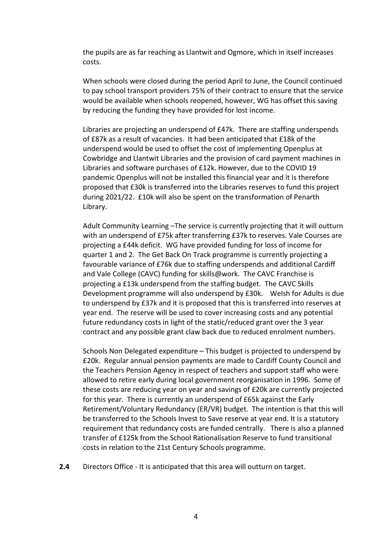the pupils are as far reaching as Llantwit and Ogmore, which in itself increases costs.

When schools were closed during the period April to June, the Council continued to pay school transport providers 75% of their contract to ensure that the service would be available when schools reopened, however, WG has offset this saving by reducing the funding they have provided for lost income.

Libraries are projecting an underspend of £47k. There are staffing underspends of £87k as a result of vacancies. It had been anticipated that £18k of the underspend would be used to offset the cost of implementing Openplus at Cowbridge and Llantwit Libraries and the provision of card payment machines in Libraries and software purchases of £12k. However, due to the COVID 19 pandemic Openplus will not be installed this financial year and it is therefore proposed that £30k is transferred into the Libraries reserves to fund this project during 2021/22. £10k will also be spent on the transformation of Penarth Library.

Adult Community Learning –The service is currently projecting that it will outturn with an underspend of £75k after transferring £37k to reserves. Vale Courses are projecting a £44k deficit. WG have provided funding for loss of income for quarter 1 and 2. The Get Back On Track programme is currently projecting a favourable variance of £76k due to staffing underspends and additional Cardiff and Vale College (CAVC) funding for skills@work. The CAVC Franchise is projecting a £13k underspend from the staffing budget. The CAVC Skills Development programme will also underspend by £30k. Welsh for Adults is due to underspend by £37k and it is proposed that this is transferred into reserves at year end. The reserve will be used to cover increasing costs and any potential future redundancy costs in light of the static/reduced grant over the 3 year contract and any possible grant claw back due to reduced enrolment numbers.

Schools Non Delegated expenditure – This budget is projected to underspend by £20k. Regular annual pension payments are made to Cardiff County Council and the Teachers Pension Agency in respect of teachers and support staff who were allowed to retire early during local government reorganisation in 1996. Some of these costs are reducing year on year and savings of £20k are currently projected for this year. There is currently an underspend of £65k against the Early Retirement/Voluntary Redundancy (ER/VR) budget. The intention is that this will be transferred to the Schools Invest to Save reserve at year end. It is a statutory requirement that redundancy costs are funded centrally. There is also a planned transfer of £125k from the School Rationalisation Reserve to fund transitional costs in relation to the 21st Century Schools programme.

**2.4** Directors Office - It is anticipated that this area will outturn on target.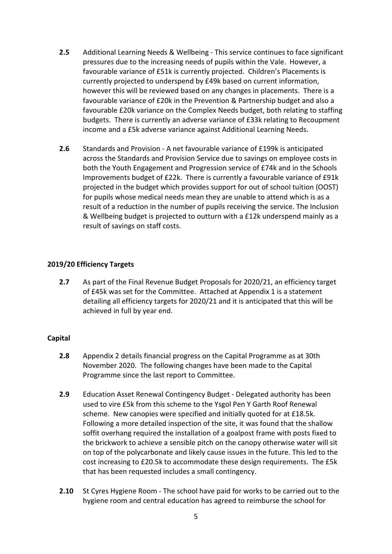- **2.5** Additional Learning Needs & Wellbeing This service continues to face significant pressures due to the increasing needs of pupils within the Vale. However, a favourable variance of £51k is currently projected. Children's Placements is currently projected to underspend by £49k based on current information, however this will be reviewed based on any changes in placements. There is a favourable variance of £20k in the Prevention & Partnership budget and also a favourable £20k variance on the Complex Needs budget, both relating to staffing budgets. There is currently an adverse variance of £33k relating to Recoupment income and a £5k adverse variance against Additional Learning Needs.
- **2.6** Standards and Provision A net favourable variance of £199k is anticipated across the Standards and Provision Service due to savings on employee costs in both the Youth Engagement and Progression service of £74k and in the Schools Improvements budget of £22k. There is currently a favourable variance of £91k projected in the budget which provides support for out of school tuition (OOST) for pupils whose medical needs mean they are unable to attend which is as a result of a reduction in the number of pupils receiving the service. The Inclusion & Wellbeing budget is projected to outturn with a £12k underspend mainly as a result of savings on staff costs.

### **2019/20 Efficiency Targets**

**2.7** As part of the Final Revenue Budget Proposals for 2020/21, an efficiency target of £45k was set for the Committee. Attached at Appendix 1 is a statement detailing all efficiency targets for 2020/21 and it is anticipated that this will be achieved in full by year end.

### **Capital**

- **2.8** Appendix 2 details financial progress on the Capital Programme as at 30th November 2020. The following changes have been made to the Capital Programme since the last report to Committee.
- **2.9** Education Asset Renewal Contingency Budget Delegated authority has been used to vire £5k from this scheme to the Ysgol Pen Y Garth Roof Renewal scheme. New canopies were specified and initially quoted for at £18.5k. Following a more detailed inspection of the site, it was found that the shallow soffit overhang required the installation of a goalpost frame with posts fixed to the brickwork to achieve a sensible pitch on the canopy otherwise water will sit on top of the polycarbonate and likely cause issues in the future. This led to the cost increasing to £20.5k to accommodate these design requirements. The £5k that has been requested includes a small contingency.
- **2.10** St Cyres Hygiene Room The school have paid for works to be carried out to the hygiene room and central education has agreed to reimburse the school for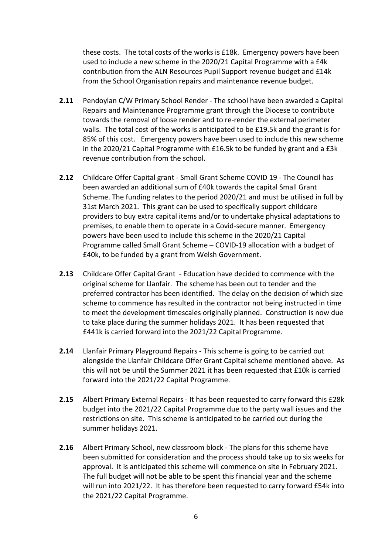these costs. The total costs of the works is £18k. Emergency powers have been used to include a new scheme in the 2020/21 Capital Programme with a £4k contribution from the ALN Resources Pupil Support revenue budget and £14k from the School Organisation repairs and maintenance revenue budget.

- **2.11** Pendoylan C/W Primary School Render The school have been awarded a Capital Repairs and Maintenance Programme grant through the Diocese to contribute towards the removal of loose render and to re-render the external perimeter walls. The total cost of the works is anticipated to be £19.5k and the grant is for 85% of this cost. Emergency powers have been used to include this new scheme in the 2020/21 Capital Programme with £16.5k to be funded by grant and a £3k revenue contribution from the school.
- **2.12** Childcare Offer Capital grant Small Grant Scheme COVID 19 The Council has been awarded an additional sum of £40k towards the capital Small Grant Scheme. The funding relates to the period 2020/21 and must be utilised in full by 31st March 2021. This grant can be used to specifically support childcare providers to buy extra capital items and/or to undertake physical adaptations to premises, to enable them to operate in a Covid-secure manner. Emergency powers have been used to include this scheme in the 2020/21 Capital Programme called Small Grant Scheme – COVID-19 allocation with a budget of £40k, to be funded by a grant from Welsh Government.
- **2.13** Childcare Offer Capital Grant Education have decided to commence with the original scheme for Llanfair. The scheme has been out to tender and the preferred contractor has been identified. The delay on the decision of which size scheme to commence has resulted in the contractor not being instructed in time to meet the development timescales originally planned. Construction is now due to take place during the summer holidays 2021. It has been requested that £441k is carried forward into the 2021/22 Capital Programme.
- **2.14** Llanfair Primary Playground Repairs This scheme is going to be carried out alongside the Llanfair Childcare Offer Grant Capital scheme mentioned above. As this will not be until the Summer 2021 it has been requested that £10k is carried forward into the 2021/22 Capital Programme.
- **2.15** Albert Primary External Repairs It has been requested to carry forward this £28k budget into the 2021/22 Capital Programme due to the party wall issues and the restrictions on site. This scheme is anticipated to be carried out during the summer holidays 2021.
- **2.16** Albert Primary School, new classroom block The plans for this scheme have been submitted for consideration and the process should take up to six weeks for approval. It is anticipated this scheme will commence on site in February 2021. The full budget will not be able to be spent this financial year and the scheme will run into 2021/22. It has therefore been requested to carry forward £54k into the 2021/22 Capital Programme.